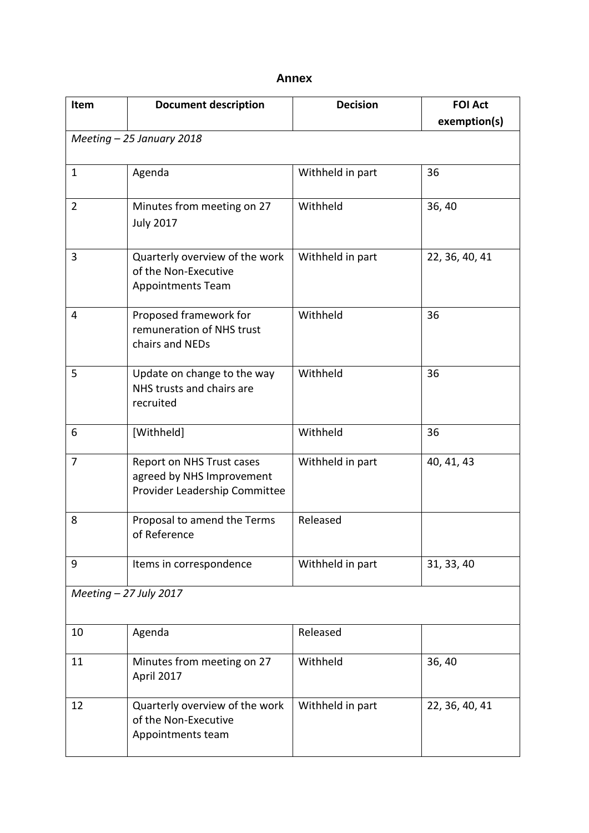## **Annex**

| Item                      | <b>Document description</b>                                                             | <b>Decision</b>  | <b>FOI Act</b> |  |
|---------------------------|-----------------------------------------------------------------------------------------|------------------|----------------|--|
|                           |                                                                                         |                  | exemption(s)   |  |
| Meeting - 25 January 2018 |                                                                                         |                  |                |  |
| $\mathbf{1}$              | Agenda                                                                                  | Withheld in part | 36             |  |
| $\overline{2}$            | Minutes from meeting on 27<br><b>July 2017</b>                                          | Withheld         | 36, 40         |  |
| 3                         | Quarterly overview of the work<br>of the Non-Executive<br><b>Appointments Team</b>      | Withheld in part | 22, 36, 40, 41 |  |
| $\overline{4}$            | Proposed framework for<br>remuneration of NHS trust<br>chairs and NEDs                  | Withheld         | 36             |  |
| 5                         | Update on change to the way<br>NHS trusts and chairs are<br>recruited                   | Withheld         | 36             |  |
| 6                         | [Withheld]                                                                              | Withheld         | 36             |  |
| $\overline{7}$            | Report on NHS Trust cases<br>agreed by NHS Improvement<br>Provider Leadership Committee | Withheld in part | 40, 41, 43     |  |
| 8                         | Proposal to amend the Terms<br>of Reference                                             | Released         |                |  |
| 9                         | Items in correspondence                                                                 | Withheld in part | 31, 33, 40     |  |
| Meeting $-27$ July 2017   |                                                                                         |                  |                |  |
| 10                        | Agenda                                                                                  | Released         |                |  |
| 11                        | Minutes from meeting on 27<br>April 2017                                                | Withheld         | 36, 40         |  |
| 12                        | Quarterly overview of the work<br>of the Non-Executive<br>Appointments team             | Withheld in part | 22, 36, 40, 41 |  |